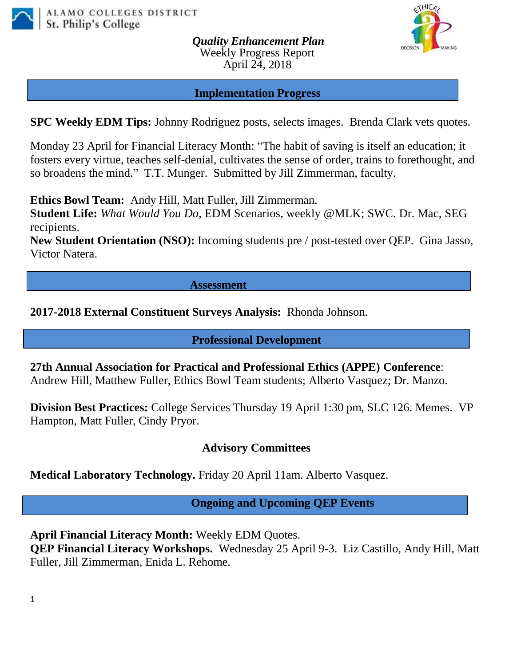

*Quality Enhancement Plan* Weekly Progress Report April 24, 2018



#### **Implementation Progress**

**SPC Weekly EDM Tips:** Johnny Rodriguez posts, selects images. Brenda Clark vets quotes.

Monday 23 April for Financial Literacy Month: "The habit of saving is itself an education; it fosters every virtue, teaches self-denial, cultivates the sense of order, trains to forethought, and so broadens the mind." T.T. Munger. Submitted by Jill Zimmerman, faculty.

**Ethics Bowl Team:** Andy Hill, Matt Fuller, Jill Zimmerman.

**Student Life:** *What Would You Do*, EDM Scenarios, weekly @MLK; SWC. Dr. Mac, SEG recipients.

**New Student Orientation (NSO):** Incoming students pre / post-tested over QEP. Gina Jasso, Victor Natera.

#### **Assessment**

### **2017-2018 External Constituent Surveys Analysis:** Rhonda Johnson.

### **Professional Development**

**27th Annual Association for Practical and Professional Ethics (APPE) Conference**: Andrew Hill, Matthew Fuller, Ethics Bowl Team students; Alberto Vasquez; Dr. Manzo.

**Division Best Practices:** College Services Thursday 19 April 1:30 pm, SLC 126. Memes. VP Hampton, Matt Fuller, Cindy Pryor.

### **Advisory Committees**

**Medical Laboratory Technology.** Friday 20 April 11am. Alberto Vasquez.

 **Ongoing and Upcoming QEP Events**

**April Financial Literacy Month:** Weekly EDM Quotes.

**QEP Financial Literacy Workshops.** Wednesday 25 April 9-3. Liz Castillo, Andy Hill, Matt Fuller, Jill Zimmerman, Enida L. Rehome.